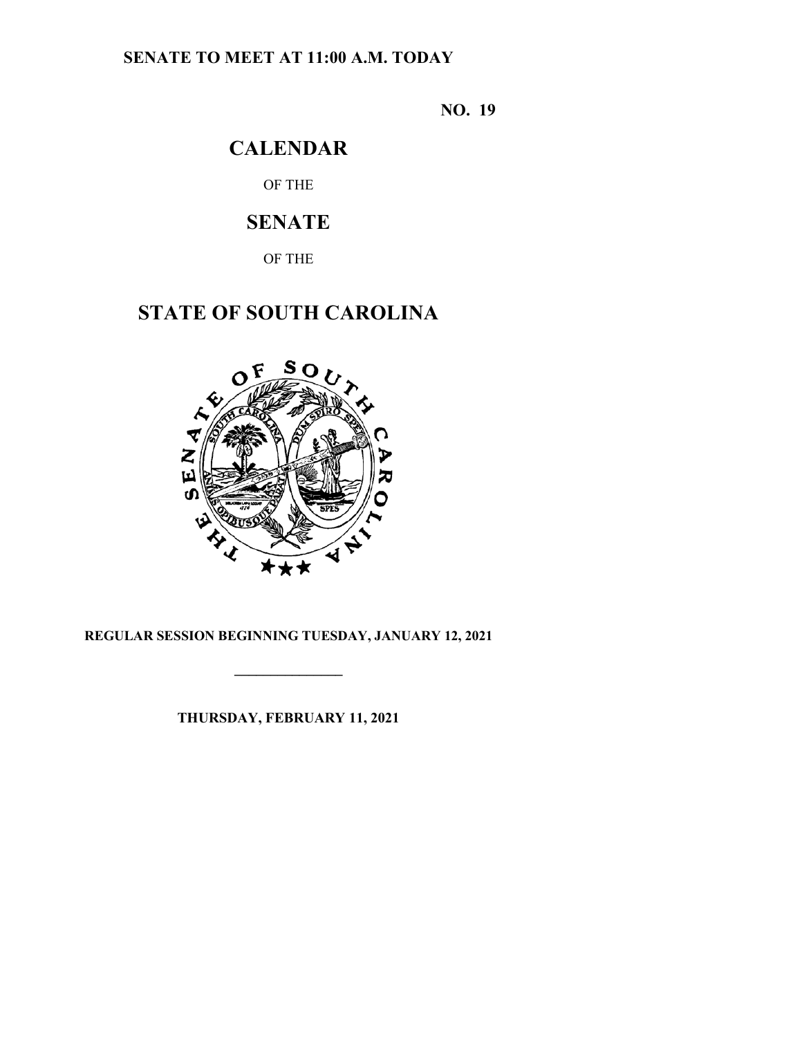### **SENATE TO MEET AT 11:00 A.M. TODAY**

**NO. 19**

## **CALENDAR**

OF THE

## **SENATE**

OF THE

# **STATE OF SOUTH CAROLINA**



### **REGULAR SESSION BEGINNING TUESDAY, JANUARY 12, 2021**

**\_\_\_\_\_\_\_\_\_\_\_\_\_\_\_**

**THURSDAY, FEBRUARY 11, 2021**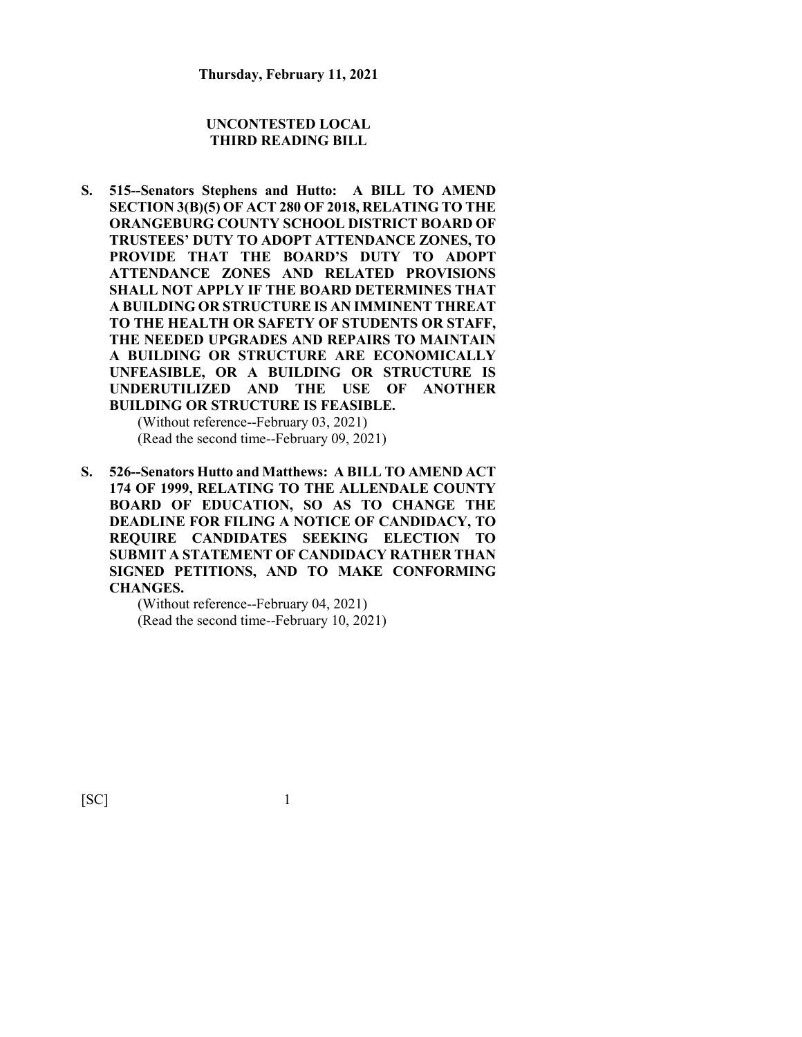#### **UNCONTESTED LOCAL THIRD READING BILL**

**S. 515--Senators Stephens and Hutto: A BILL TO AMEND SECTION 3(B)(5) OF ACT 280 OF 2018, RELATING TO THE ORANGEBURG COUNTY SCHOOL DISTRICT BOARD OF TRUSTEES' DUTY TO ADOPT ATTENDANCE ZONES, TO PROVIDE THAT THE BOARD'S DUTY TO ADOPT ATTENDANCE ZONES AND RELATED PROVISIONS SHALL NOT APPLY IF THE BOARD DETERMINES THAT A BUILDING OR STRUCTURE IS AN IMMINENT THREAT TO THE HEALTH OR SAFETY OF STUDENTS OR STAFF, THE NEEDED UPGRADES AND REPAIRS TO MAINTAIN A BUILDING OR STRUCTURE ARE ECONOMICALLY UNFEASIBLE, OR A BUILDING OR STRUCTURE IS UNDERUTILIZED AND THE USE OF ANOTHER BUILDING OR STRUCTURE IS FEASIBLE.** (Without reference--February 03, 2021)

(Read the second time--February 09, 2021)

**S. 526--Senators Hutto and Matthews: A BILL TO AMEND ACT 174 OF 1999, RELATING TO THE ALLENDALE COUNTY BOARD OF EDUCATION, SO AS TO CHANGE THE DEADLINE FOR FILING A NOTICE OF CANDIDACY, TO REQUIRE CANDIDATES SEEKING ELECTION TO SUBMIT A STATEMENT OF CANDIDACY RATHER THAN SIGNED PETITIONS, AND TO MAKE CONFORMING CHANGES.**

> (Without reference--February 04, 2021) (Read the second time--February 10, 2021)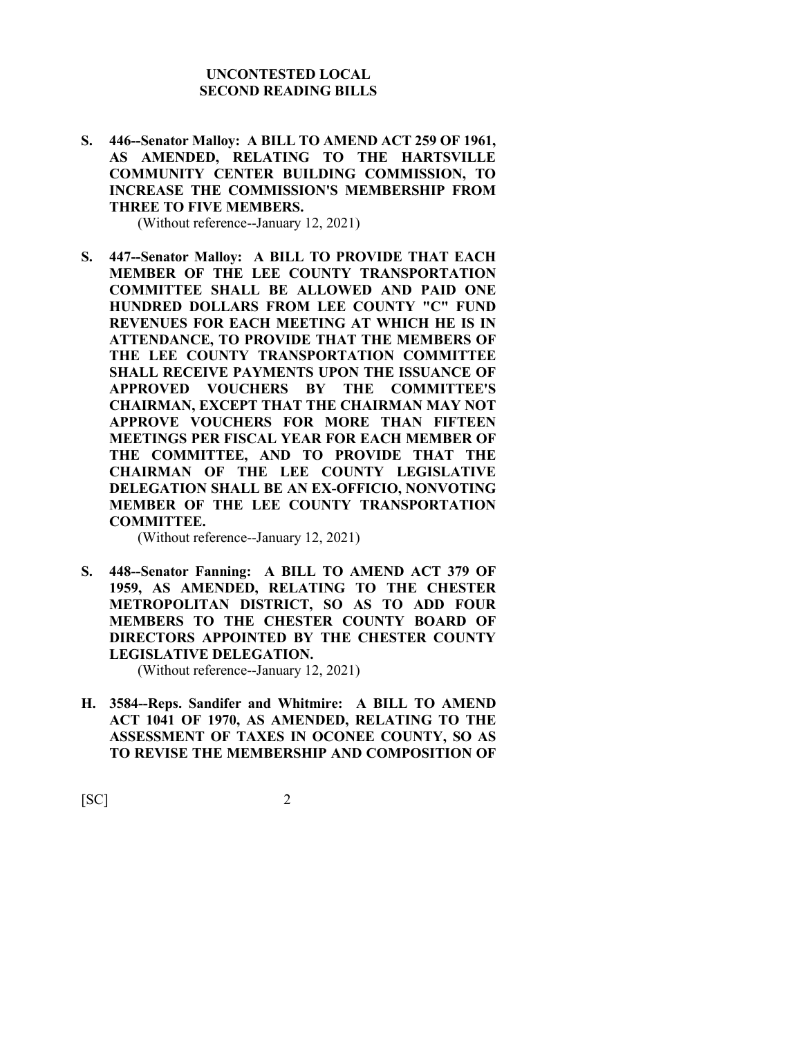#### **UNCONTESTED LOCAL SECOND READING BILLS**

**S. 446--Senator Malloy: A BILL TO AMEND ACT 259 OF 1961, AS AMENDED, RELATING TO THE HARTSVILLE COMMUNITY CENTER BUILDING COMMISSION, TO INCREASE THE COMMISSION'S MEMBERSHIP FROM THREE TO FIVE MEMBERS.**

(Without reference--January 12, 2021)

**S. 447--Senator Malloy: A BILL TO PROVIDE THAT EACH MEMBER OF THE LEE COUNTY TRANSPORTATION COMMITTEE SHALL BE ALLOWED AND PAID ONE HUNDRED DOLLARS FROM LEE COUNTY "C" FUND REVENUES FOR EACH MEETING AT WHICH HE IS IN ATTENDANCE, TO PROVIDE THAT THE MEMBERS OF THE LEE COUNTY TRANSPORTATION COMMITTEE SHALL RECEIVE PAYMENTS UPON THE ISSUANCE OF APPROVED VOUCHERS BY THE COMMITTEE'S CHAIRMAN, EXCEPT THAT THE CHAIRMAN MAY NOT APPROVE VOUCHERS FOR MORE THAN FIFTEEN MEETINGS PER FISCAL YEAR FOR EACH MEMBER OF THE COMMITTEE, AND TO PROVIDE THAT THE CHAIRMAN OF THE LEE COUNTY LEGISLATIVE DELEGATION SHALL BE AN EX-OFFICIO, NONVOTING MEMBER OF THE LEE COUNTY TRANSPORTATION COMMITTEE.**

(Without reference--January 12, 2021)

**S. 448--Senator Fanning: A BILL TO AMEND ACT 379 OF 1959, AS AMENDED, RELATING TO THE CHESTER METROPOLITAN DISTRICT, SO AS TO ADD FOUR MEMBERS TO THE CHESTER COUNTY BOARD OF DIRECTORS APPOINTED BY THE CHESTER COUNTY LEGISLATIVE DELEGATION.**

(Without reference--January 12, 2021)

**H. 3584--Reps. Sandifer and Whitmire: A BILL TO AMEND ACT 1041 OF 1970, AS AMENDED, RELATING TO THE ASSESSMENT OF TAXES IN OCONEE COUNTY, SO AS TO REVISE THE MEMBERSHIP AND COMPOSITION OF**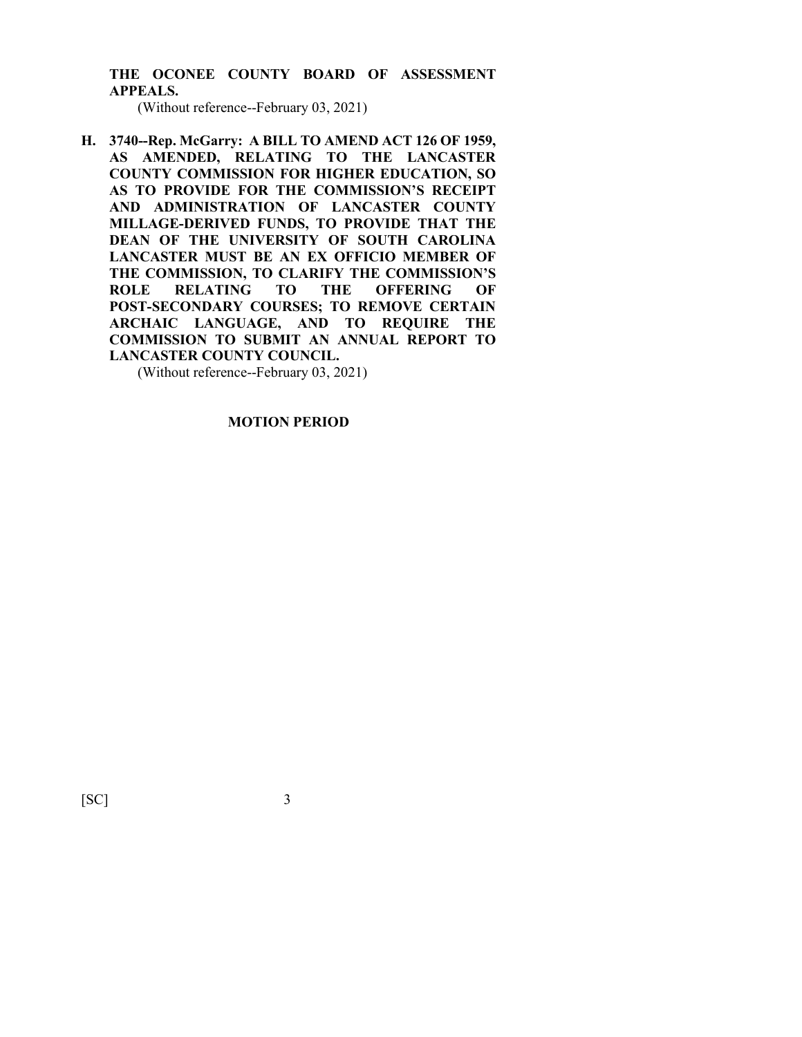**THE OCONEE COUNTY BOARD OF ASSESSMENT APPEALS.**

(Without reference--February 03, 2021)

**H. 3740--Rep. McGarry: A BILL TO AMEND ACT 126 OF 1959, AS AMENDED, RELATING TO THE LANCASTER COUNTY COMMISSION FOR HIGHER EDUCATION, SO AS TO PROVIDE FOR THE COMMISSION'S RECEIPT AND ADMINISTRATION OF LANCASTER COUNTY MILLAGE-DERIVED FUNDS, TO PROVIDE THAT THE DEAN OF THE UNIVERSITY OF SOUTH CAROLINA LANCASTER MUST BE AN EX OFFICIO MEMBER OF THE COMMISSION, TO CLARIFY THE COMMISSION'S ROLE RELATING TO THE OFFERING OF POST-SECONDARY COURSES; TO REMOVE CERTAIN ARCHAIC LANGUAGE, AND TO REQUIRE THE COMMISSION TO SUBMIT AN ANNUAL REPORT TO LANCASTER COUNTY COUNCIL.**

(Without reference--February 03, 2021)

**MOTION PERIOD**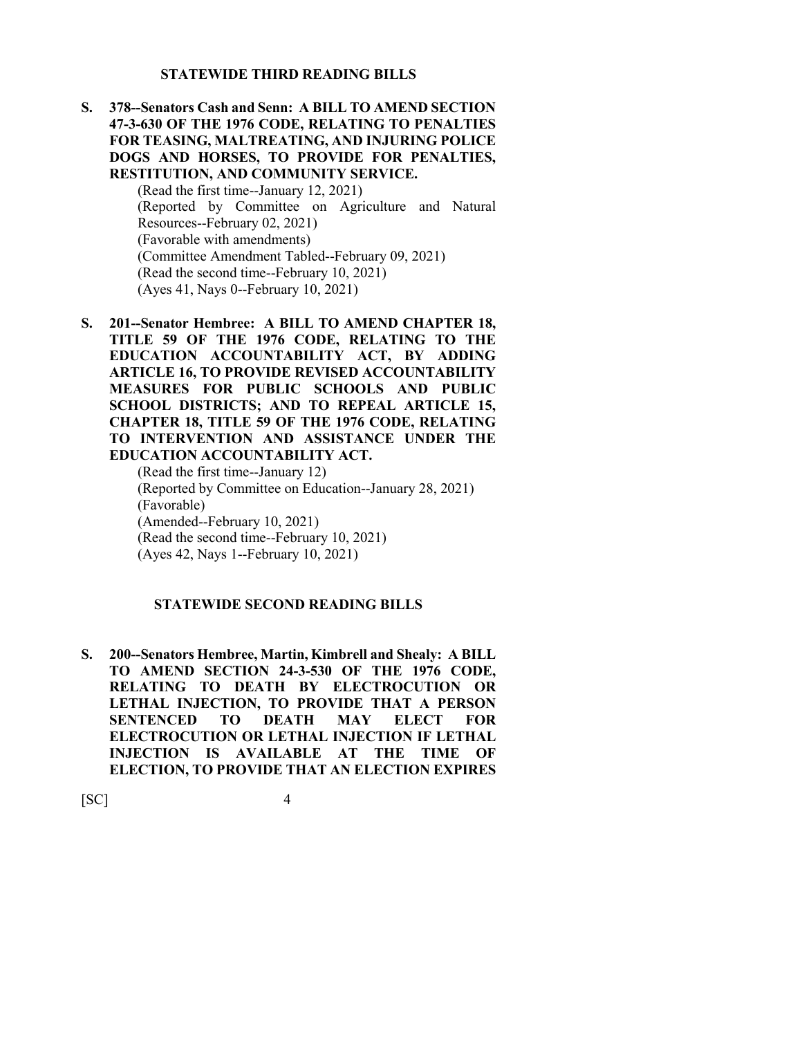#### **STATEWIDE THIRD READING BILLS**

**S. 378--Senators Cash and Senn: A BILL TO AMEND SECTION 47-3-630 OF THE 1976 CODE, RELATING TO PENALTIES FOR TEASING, MALTREATING, AND INJURING POLICE DOGS AND HORSES, TO PROVIDE FOR PENALTIES, RESTITUTION, AND COMMUNITY SERVICE.**

> (Read the first time--January 12, 2021) (Reported by Committee on Agriculture and Natural Resources--February 02, 2021) (Favorable with amendments) (Committee Amendment Tabled--February 09, 2021) (Read the second time--February 10, 2021) (Ayes 41, Nays 0--February 10, 2021)

**S. 201--Senator Hembree: A BILL TO AMEND CHAPTER 18, TITLE 59 OF THE 1976 CODE, RELATING TO THE EDUCATION ACCOUNTABILITY ACT, BY ADDING ARTICLE 16, TO PROVIDE REVISED ACCOUNTABILITY MEASURES FOR PUBLIC SCHOOLS AND PUBLIC SCHOOL DISTRICTS; AND TO REPEAL ARTICLE 15, CHAPTER 18, TITLE 59 OF THE 1976 CODE, RELATING TO INTERVENTION AND ASSISTANCE UNDER THE EDUCATION ACCOUNTABILITY ACT.**

(Read the first time--January 12) (Reported by Committee on Education--January 28, 2021) (Favorable) (Amended--February 10, 2021) (Read the second time--February 10, 2021) (Ayes 42, Nays 1--February 10, 2021)

#### **STATEWIDE SECOND READING BILLS**

**S. 200--Senators Hembree, Martin, Kimbrell and Shealy: A BILL TO AMEND SECTION 24-3-530 OF THE 1976 CODE, RELATING TO DEATH BY ELECTROCUTION OR LETHAL INJECTION, TO PROVIDE THAT A PERSON SENTENCED TO DEATH MAY ELECT FOR ELECTROCUTION OR LETHAL INJECTION IF LETHAL INJECTION IS AVAILABLE AT THE TIME OF ELECTION, TO PROVIDE THAT AN ELECTION EXPIRES**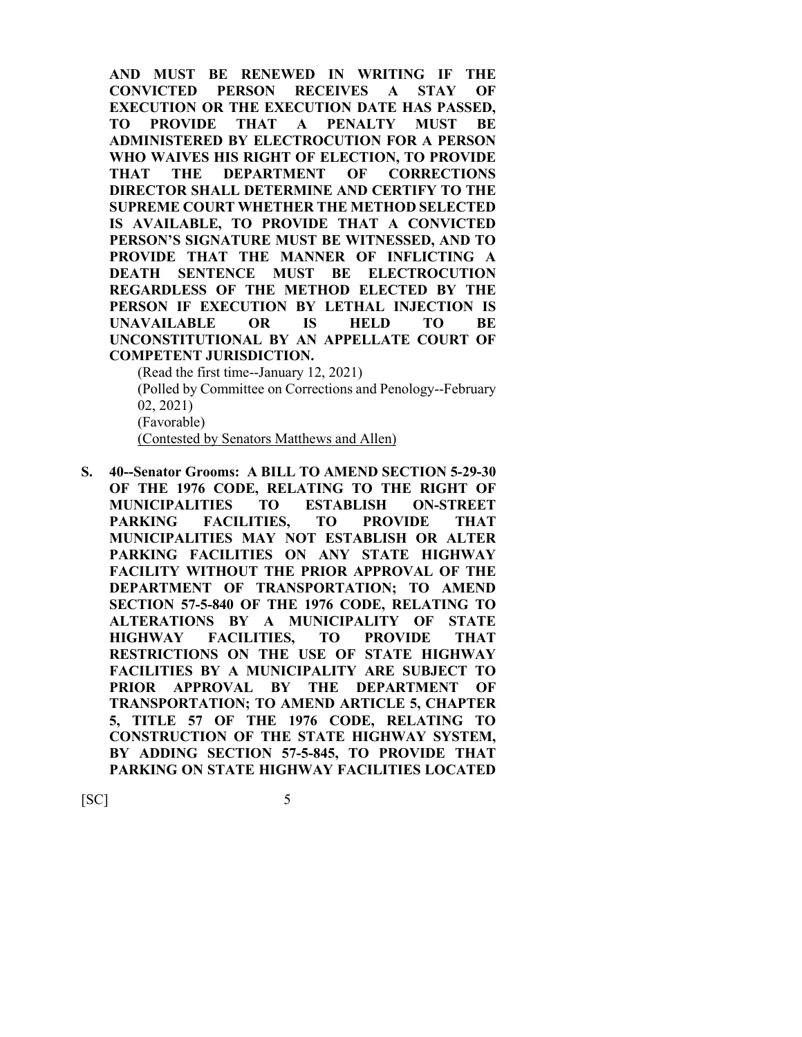**AND MUST BE RENEWED IN WRITING IF THE CONVICTED PERSON RECEIVES A STAY OF EXECUTION OR THE EXECUTION DATE HAS PASSED, TO PROVIDE THAT A PENALTY MUST BE ADMINISTERED BY ELECTROCUTION FOR A PERSON WHO WAIVES HIS RIGHT OF ELECTION, TO PROVIDE THAT THE DEPARTMENT OF CORRECTIONS DIRECTOR SHALL DETERMINE AND CERTIFY TO THE SUPREME COURT WHETHER THE METHOD SELECTED IS AVAILABLE, TO PROVIDE THAT A CONVICTED PERSON'S SIGNATURE MUST BE WITNESSED, AND TO PROVIDE THAT THE MANNER OF INFLICTING A DEATH SENTENCE MUST BE ELECTROCUTION REGARDLESS OF THE METHOD ELECTED BY THE PERSON IF EXECUTION BY LETHAL INJECTION IS UNAVAILABLE OR IS HELD TO BE UNCONSTITUTIONAL BY AN APPELLATE COURT OF COMPETENT JURISDICTION.**

(Read the first time--January 12, 2021) (Polled by Committee on Corrections and Penology--February 02, 2021) (Favorable) (Contested by Senators Matthews and Allen)

**S. 40--Senator Grooms: A BILL TO AMEND SECTION 5-29-30 OF THE 1976 CODE, RELATING TO THE RIGHT OF MUNICIPALITIES TO ESTABLISH ON-STREET PARKING FACILITIES, TO PROVIDE THAT MUNICIPALITIES MAY NOT ESTABLISH OR ALTER PARKING FACILITIES ON ANY STATE HIGHWAY FACILITY WITHOUT THE PRIOR APPROVAL OF THE DEPARTMENT OF TRANSPORTATION; TO AMEND SECTION 57-5-840 OF THE 1976 CODE, RELATING TO ALTERATIONS BY A MUNICIPALITY OF STATE HIGHWAY FACILITIES, TO PROVIDE THAT RESTRICTIONS ON THE USE OF STATE HIGHWAY FACILITIES BY A MUNICIPALITY ARE SUBJECT TO PRIOR APPROVAL BY THE DEPARTMENT OF TRANSPORTATION; TO AMEND ARTICLE 5, CHAPTER 5, TITLE 57 OF THE 1976 CODE, RELATING TO CONSTRUCTION OF THE STATE HIGHWAY SYSTEM, BY ADDING SECTION 57-5-845, TO PROVIDE THAT PARKING ON STATE HIGHWAY FACILITIES LOCATED**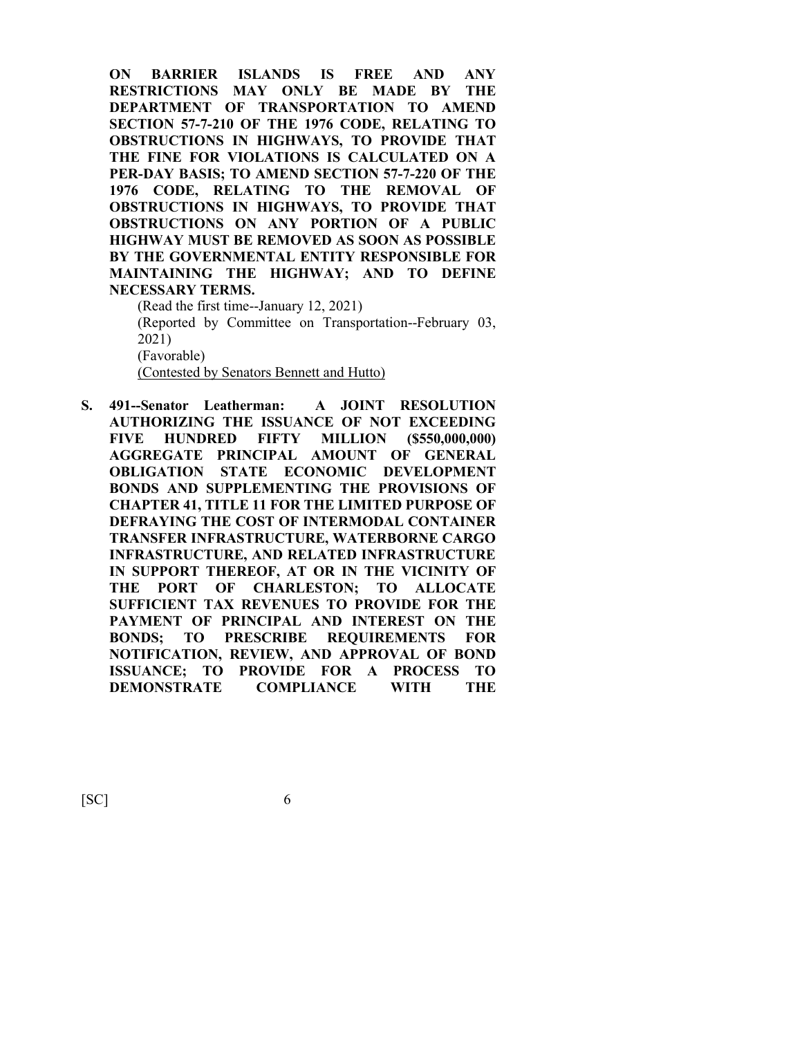**ON BARRIER ISLANDS IS FREE AND ANY RESTRICTIONS MAY ONLY BE MADE BY THE DEPARTMENT OF TRANSPORTATION TO AMEND SECTION 57-7-210 OF THE 1976 CODE, RELATING TO OBSTRUCTIONS IN HIGHWAYS, TO PROVIDE THAT THE FINE FOR VIOLATIONS IS CALCULATED ON A PER-DAY BASIS; TO AMEND SECTION 57-7-220 OF THE 1976 CODE, RELATING TO THE REMOVAL OF OBSTRUCTIONS IN HIGHWAYS, TO PROVIDE THAT OBSTRUCTIONS ON ANY PORTION OF A PUBLIC HIGHWAY MUST BE REMOVED AS SOON AS POSSIBLE BY THE GOVERNMENTAL ENTITY RESPONSIBLE FOR MAINTAINING THE HIGHWAY; AND TO DEFINE NECESSARY TERMS.**

(Read the first time--January 12, 2021) (Reported by Committee on Transportation--February 03, 2021) (Favorable) (Contested by Senators Bennett and Hutto)

**S. 491--Senator Leatherman: A JOINT RESOLUTION AUTHORIZING THE ISSUANCE OF NOT EXCEEDING FIVE HUNDRED FIFTY MILLION (\$550,000,000) AGGREGATE PRINCIPAL AMOUNT OF GENERAL OBLIGATION STATE ECONOMIC DEVELOPMENT BONDS AND SUPPLEMENTING THE PROVISIONS OF CHAPTER 41, TITLE 11 FOR THE LIMITED PURPOSE OF DEFRAYING THE COST OF INTERMODAL CONTAINER TRANSFER INFRASTRUCTURE, WATERBORNE CARGO INFRASTRUCTURE, AND RELATED INFRASTRUCTURE IN SUPPORT THEREOF, AT OR IN THE VICINITY OF THE PORT OF CHARLESTON; TO ALLOCATE SUFFICIENT TAX REVENUES TO PROVIDE FOR THE PAYMENT OF PRINCIPAL AND INTEREST ON THE BONDS; TO PRESCRIBE REQUIREMENTS FOR NOTIFICATION, REVIEW, AND APPROVAL OF BOND ISSUANCE; TO PROVIDE FOR A PROCESS TO DEMONSTRATE COMPLIANCE WITH THE**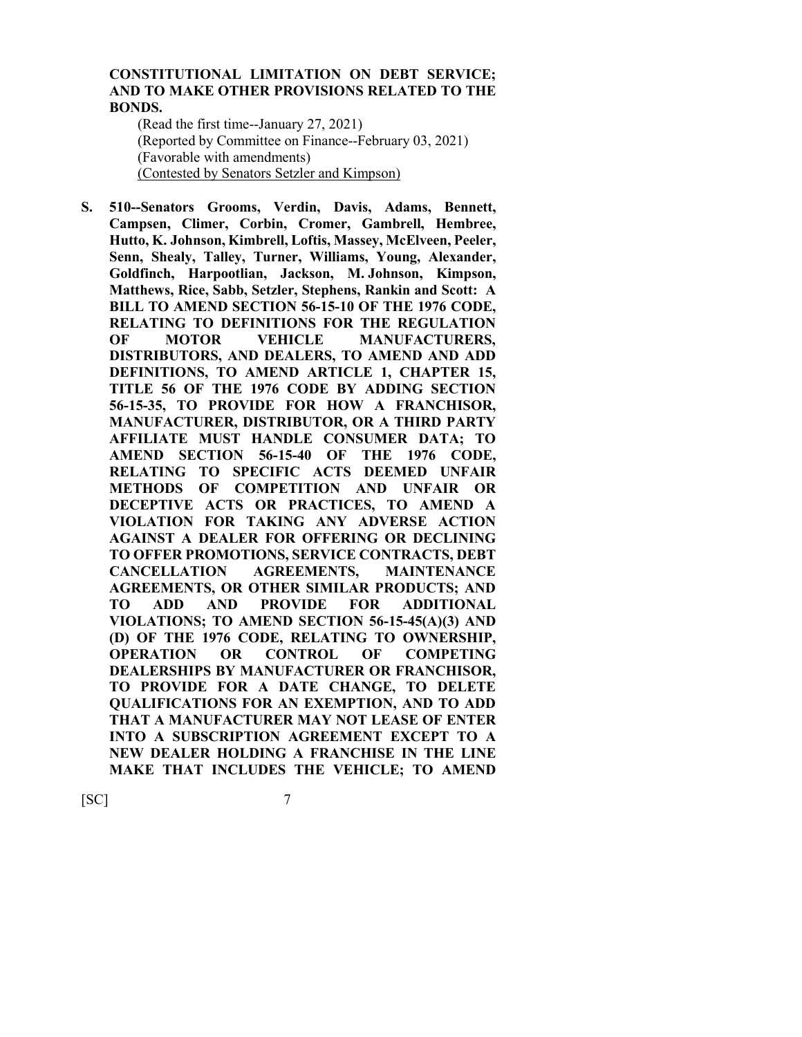#### **CONSTITUTIONAL LIMITATION ON DEBT SERVICE; AND TO MAKE OTHER PROVISIONS RELATED TO THE BONDS.**

(Read the first time--January 27, 2021) (Reported by Committee on Finance--February 03, 2021) (Favorable with amendments) (Contested by Senators Setzler and Kimpson)

**S. 510--Senators Grooms, Verdin, Davis, Adams, Bennett, Campsen, Climer, Corbin, Cromer, Gambrell, Hembree, Hutto, K. Johnson, Kimbrell, Loftis, Massey, McElveen, Peeler, Senn, Shealy, Talley, Turner, Williams, Young, Alexander, Goldfinch, Harpootlian, Jackson, M. Johnson, Kimpson, Matthews, Rice, Sabb, Setzler, Stephens, Rankin and Scott: A BILL TO AMEND SECTION 56-15-10 OF THE 1976 CODE, RELATING TO DEFINITIONS FOR THE REGULATION OF MOTOR VEHICLE MANUFACTURERS, DISTRIBUTORS, AND DEALERS, TO AMEND AND ADD DEFINITIONS, TO AMEND ARTICLE 1, CHAPTER 15, TITLE 56 OF THE 1976 CODE BY ADDING SECTION 56-15-35, TO PROVIDE FOR HOW A FRANCHISOR, MANUFACTURER, DISTRIBUTOR, OR A THIRD PARTY AFFILIATE MUST HANDLE CONSUMER DATA; TO AMEND SECTION 56-15-40 OF THE 1976 CODE, RELATING TO SPECIFIC ACTS DEEMED UNFAIR METHODS OF COMPETITION AND UNFAIR OR DECEPTIVE ACTS OR PRACTICES, TO AMEND A VIOLATION FOR TAKING ANY ADVERSE ACTION AGAINST A DEALER FOR OFFERING OR DECLINING TO OFFER PROMOTIONS, SERVICE CONTRACTS, DEBT CANCELLATION AGREEMENTS, MAINTENANCE AGREEMENTS, OR OTHER SIMILAR PRODUCTS; AND TO ADD AND PROVIDE FOR ADDITIONAL VIOLATIONS; TO AMEND SECTION 56-15-45(A)(3) AND (D) OF THE 1976 CODE, RELATING TO OWNERSHIP, OPERATION OR CONTROL OF COMPETING DEALERSHIPS BY MANUFACTURER OR FRANCHISOR, TO PROVIDE FOR A DATE CHANGE, TO DELETE QUALIFICATIONS FOR AN EXEMPTION, AND TO ADD THAT A MANUFACTURER MAY NOT LEASE OF ENTER INTO A SUBSCRIPTION AGREEMENT EXCEPT TO A NEW DEALER HOLDING A FRANCHISE IN THE LINE MAKE THAT INCLUDES THE VEHICLE; TO AMEND**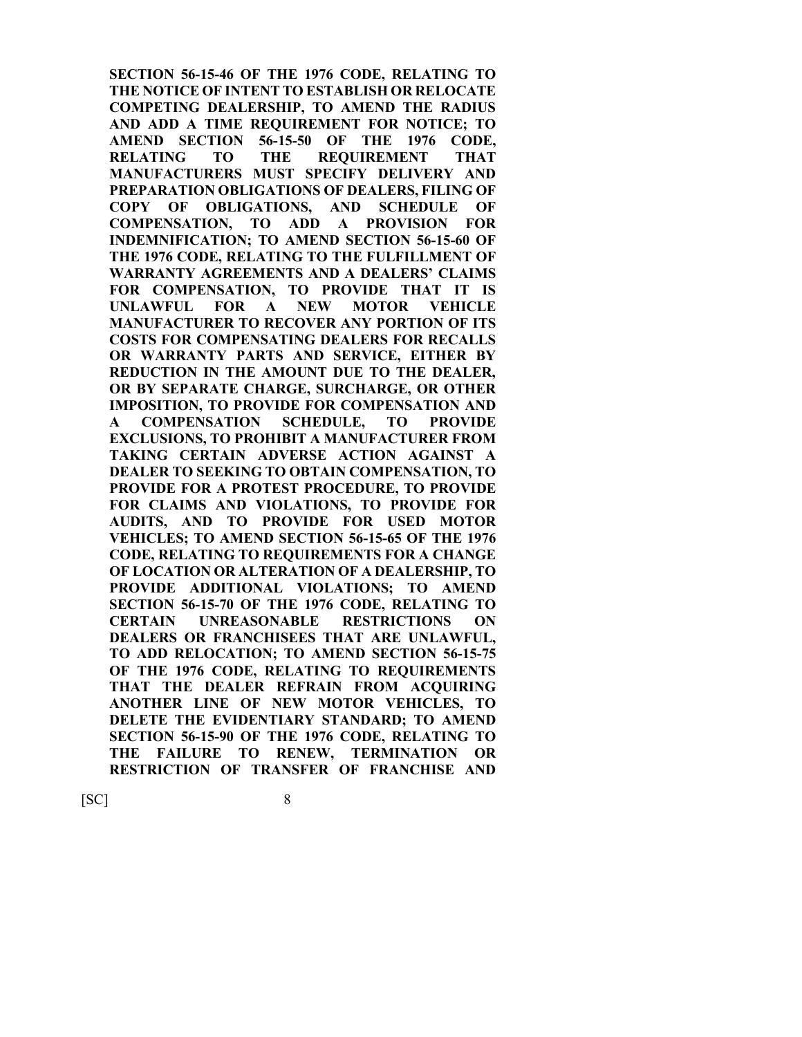**SECTION 56-15-46 OF THE 1976 CODE, RELATING TO THE NOTICE OF INTENT TO ESTABLISH OR RELOCATE COMPETING DEALERSHIP, TO AMEND THE RADIUS AND ADD A TIME REQUIREMENT FOR NOTICE; TO AMEND SECTION 56-15-50 OF THE 1976 CODE, RELATING TO THE REQUIREMENT THAT MANUFACTURERS MUST SPECIFY DELIVERY AND PREPARATION OBLIGATIONS OF DEALERS, FILING OF COPY OF OBLIGATIONS, AND SCHEDULE OF COMPENSATION, TO ADD A PROVISION FOR INDEMNIFICATION; TO AMEND SECTION 56-15-60 OF THE 1976 CODE, RELATING TO THE FULFILLMENT OF WARRANTY AGREEMENTS AND A DEALERS' CLAIMS FOR COMPENSATION, TO PROVIDE THAT IT IS UNLAWFUL FOR A NEW MOTOR VEHICLE MANUFACTURER TO RECOVER ANY PORTION OF ITS COSTS FOR COMPENSATING DEALERS FOR RECALLS OR WARRANTY PARTS AND SERVICE, EITHER BY REDUCTION IN THE AMOUNT DUE TO THE DEALER, OR BY SEPARATE CHARGE, SURCHARGE, OR OTHER IMPOSITION, TO PROVIDE FOR COMPENSATION AND A COMPENSATION SCHEDULE, TO PROVIDE EXCLUSIONS, TO PROHIBIT A MANUFACTURER FROM TAKING CERTAIN ADVERSE ACTION AGAINST A DEALER TO SEEKING TO OBTAIN COMPENSATION, TO PROVIDE FOR A PROTEST PROCEDURE, TO PROVIDE FOR CLAIMS AND VIOLATIONS, TO PROVIDE FOR AUDITS, AND TO PROVIDE FOR USED MOTOR VEHICLES; TO AMEND SECTION 56-15-65 OF THE 1976 CODE, RELATING TO REQUIREMENTS FOR A CHANGE OF LOCATION OR ALTERATION OF A DEALERSHIP, TO PROVIDE ADDITIONAL VIOLATIONS; TO AMEND SECTION 56-15-70 OF THE 1976 CODE, RELATING TO CERTAIN UNREASONABLE RESTRICTIONS ON DEALERS OR FRANCHISEES THAT ARE UNLAWFUL, TO ADD RELOCATION; TO AMEND SECTION 56-15-75 OF THE 1976 CODE, RELATING TO REQUIREMENTS THAT THE DEALER REFRAIN FROM ACQUIRING ANOTHER LINE OF NEW MOTOR VEHICLES, TO DELETE THE EVIDENTIARY STANDARD; TO AMEND SECTION 56-15-90 OF THE 1976 CODE, RELATING TO THE FAILURE TO RENEW, TERMINATION OR RESTRICTION OF TRANSFER OF FRANCHISE AND**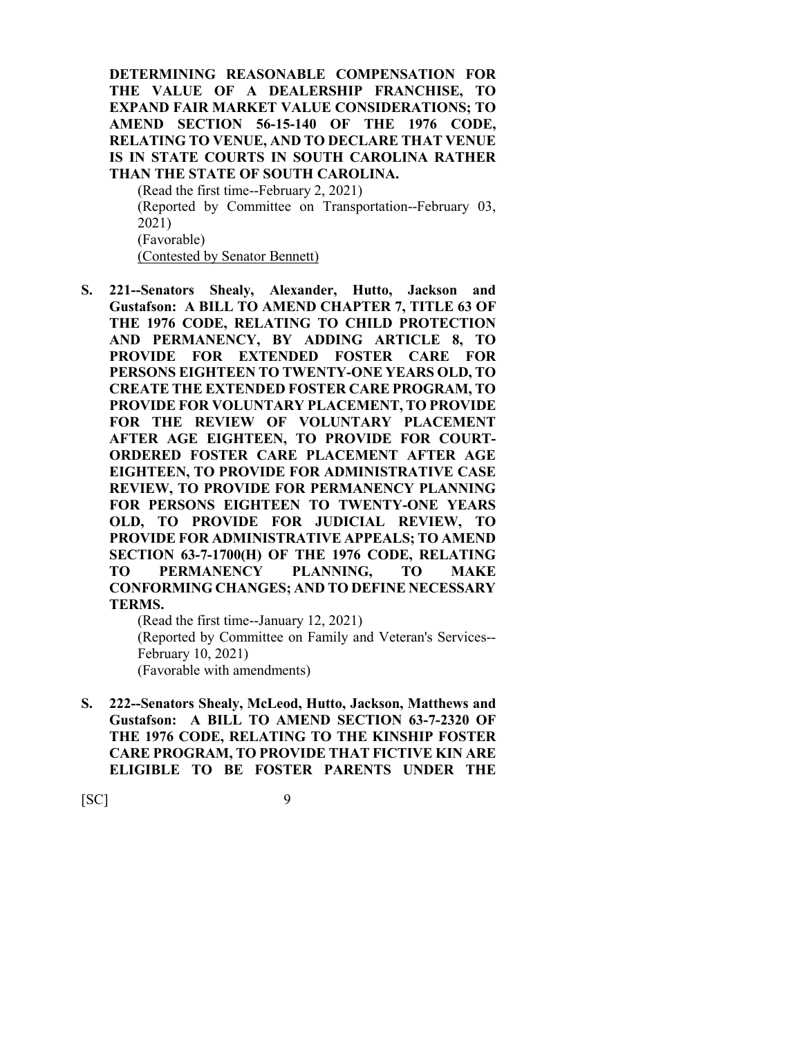**DETERMINING REASONABLE COMPENSATION FOR THE VALUE OF A DEALERSHIP FRANCHISE, TO EXPAND FAIR MARKET VALUE CONSIDERATIONS; TO AMEND SECTION 56-15-140 OF THE 1976 CODE, RELATING TO VENUE, AND TO DECLARE THAT VENUE IS IN STATE COURTS IN SOUTH CAROLINA RATHER THAN THE STATE OF SOUTH CAROLINA.**

(Read the first time--February 2, 2021) (Reported by Committee on Transportation--February 03, 2021) (Favorable) (Contested by Senator Bennett)

**S. 221--Senators Shealy, Alexander, Hutto, Jackson and Gustafson: A BILL TO AMEND CHAPTER 7, TITLE 63 OF THE 1976 CODE, RELATING TO CHILD PROTECTION AND PERMANENCY, BY ADDING ARTICLE 8, TO PROVIDE FOR EXTENDED FOSTER CARE FOR PERSONS EIGHTEEN TO TWENTY-ONE YEARS OLD, TO CREATE THE EXTENDED FOSTER CARE PROGRAM, TO PROVIDE FOR VOLUNTARY PLACEMENT, TO PROVIDE FOR THE REVIEW OF VOLUNTARY PLACEMENT AFTER AGE EIGHTEEN, TO PROVIDE FOR COURT-ORDERED FOSTER CARE PLACEMENT AFTER AGE EIGHTEEN, TO PROVIDE FOR ADMINISTRATIVE CASE REVIEW, TO PROVIDE FOR PERMANENCY PLANNING FOR PERSONS EIGHTEEN TO TWENTY-ONE YEARS OLD, TO PROVIDE FOR JUDICIAL REVIEW, TO PROVIDE FOR ADMINISTRATIVE APPEALS; TO AMEND SECTION 63-7-1700(H) OF THE 1976 CODE, RELATING TO PERMANENCY PLANNING, TO MAKE CONFORMING CHANGES; AND TO DEFINE NECESSARY TERMS.**

(Read the first time--January 12, 2021) (Reported by Committee on Family and Veteran's Services-- February 10, 2021) (Favorable with amendments)

**S. 222--Senators Shealy, McLeod, Hutto, Jackson, Matthews and Gustafson: A BILL TO AMEND SECTION 63-7-2320 OF THE 1976 CODE, RELATING TO THE KINSHIP FOSTER CARE PROGRAM, TO PROVIDE THAT FICTIVE KIN ARE ELIGIBLE TO BE FOSTER PARENTS UNDER THE**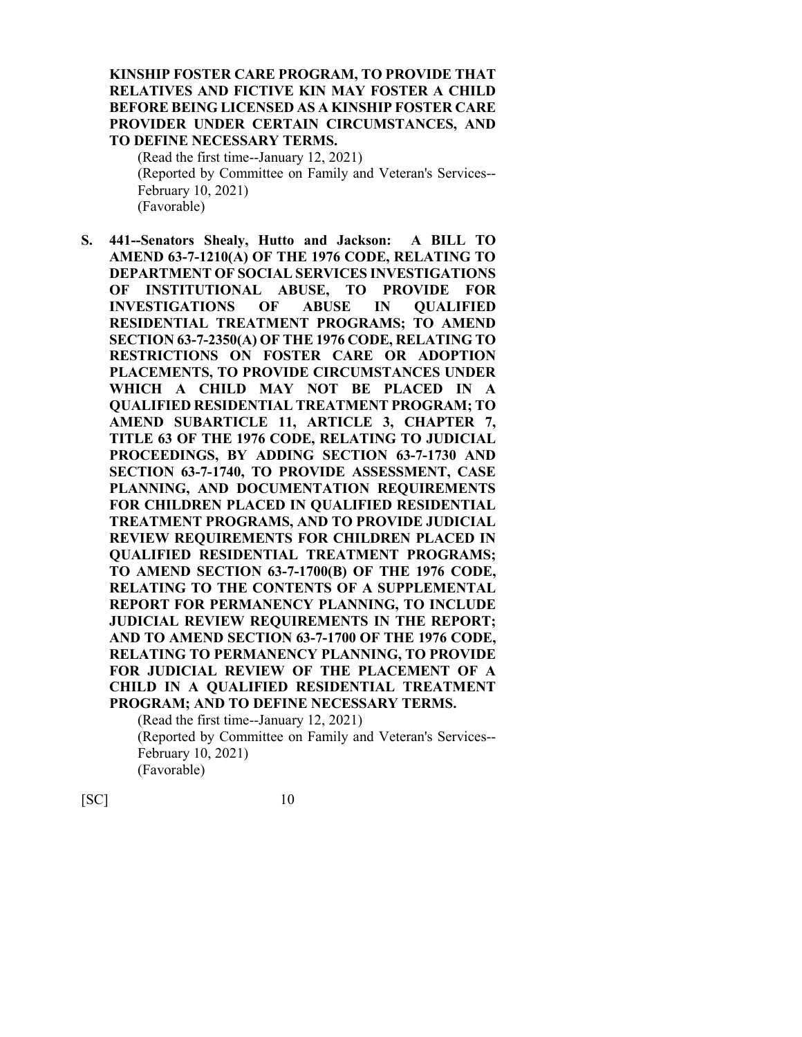#### **KINSHIP FOSTER CARE PROGRAM, TO PROVIDE THAT RELATIVES AND FICTIVE KIN MAY FOSTER A CHILD BEFORE BEING LICENSED AS A KINSHIP FOSTER CARE PROVIDER UNDER CERTAIN CIRCUMSTANCES, AND TO DEFINE NECESSARY TERMS.**

(Read the first time--January 12, 2021) (Reported by Committee on Family and Veteran's Services-- February 10, 2021) (Favorable)

**S. 441--Senators Shealy, Hutto and Jackson: A BILL TO AMEND 63-7-1210(A) OF THE 1976 CODE, RELATING TO DEPARTMENT OF SOCIAL SERVICES INVESTIGATIONS OF INSTITUTIONAL ABUSE, TO PROVIDE FOR INVESTIGATIONS OF ABUSE IN QUALIFIED RESIDENTIAL TREATMENT PROGRAMS; TO AMEND SECTION 63-7-2350(A) OF THE 1976 CODE, RELATING TO RESTRICTIONS ON FOSTER CARE OR ADOPTION PLACEMENTS, TO PROVIDE CIRCUMSTANCES UNDER WHICH A CHILD MAY NOT BE PLACED IN A QUALIFIED RESIDENTIAL TREATMENT PROGRAM; TO AMEND SUBARTICLE 11, ARTICLE 3, CHAPTER 7, TITLE 63 OF THE 1976 CODE, RELATING TO JUDICIAL PROCEEDINGS, BY ADDING SECTION 63-7-1730 AND SECTION 63-7-1740, TO PROVIDE ASSESSMENT, CASE PLANNING, AND DOCUMENTATION REQUIREMENTS FOR CHILDREN PLACED IN QUALIFIED RESIDENTIAL TREATMENT PROGRAMS, AND TO PROVIDE JUDICIAL REVIEW REQUIREMENTS FOR CHILDREN PLACED IN QUALIFIED RESIDENTIAL TREATMENT PROGRAMS; TO AMEND SECTION 63-7-1700(B) OF THE 1976 CODE, RELATING TO THE CONTENTS OF A SUPPLEMENTAL REPORT FOR PERMANENCY PLANNING, TO INCLUDE JUDICIAL REVIEW REQUIREMENTS IN THE REPORT; AND TO AMEND SECTION 63-7-1700 OF THE 1976 CODE, RELATING TO PERMANENCY PLANNING, TO PROVIDE FOR JUDICIAL REVIEW OF THE PLACEMENT OF A CHILD IN A QUALIFIED RESIDENTIAL TREATMENT PROGRAM; AND TO DEFINE NECESSARY TERMS.**

(Read the first time--January 12, 2021) (Reported by Committee on Family and Veteran's Services-- February 10, 2021) (Favorable)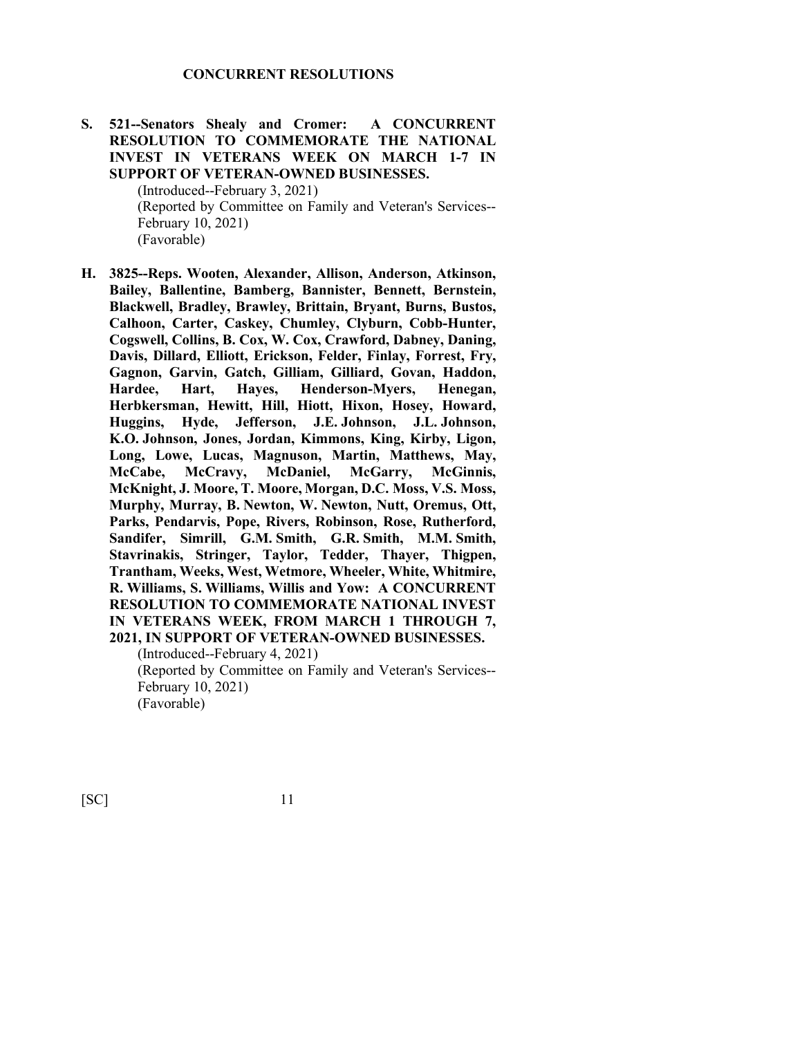**S. 521--Senators Shealy and Cromer: A CONCURRENT RESOLUTION TO COMMEMORATE THE NATIONAL INVEST IN VETERANS WEEK ON MARCH 1-7 IN SUPPORT OF VETERAN-OWNED BUSINESSES.**

> (Introduced--February 3, 2021) (Reported by Committee on Family and Veteran's Services-- February 10, 2021) (Favorable)

**H. 3825--Reps. Wooten, Alexander, Allison, Anderson, Atkinson, Bailey, Ballentine, Bamberg, Bannister, Bennett, Bernstein, Blackwell, Bradley, Brawley, Brittain, Bryant, Burns, Bustos, Calhoon, Carter, Caskey, Chumley, Clyburn, Cobb-Hunter, Cogswell, Collins, B. Cox, W. Cox, Crawford, Dabney, Daning, Davis, Dillard, Elliott, Erickson, Felder, Finlay, Forrest, Fry, Gagnon, Garvin, Gatch, Gilliam, Gilliard, Govan, Haddon, Hardee, Hart, Hayes, Henderson-Myers, Henegan, Herbkersman, Hewitt, Hill, Hiott, Hixon, Hosey, Howard, Huggins, Hyde, Jefferson, J.E. Johnson, J.L. Johnson, K.O. Johnson, Jones, Jordan, Kimmons, King, Kirby, Ligon, Long, Lowe, Lucas, Magnuson, Martin, Matthews, May, McCabe, McCravy, McDaniel, McGarry, McGinnis, McKnight, J. Moore, T. Moore, Morgan, D.C. Moss, V.S. Moss, Murphy, Murray, B. Newton, W. Newton, Nutt, Oremus, Ott, Parks, Pendarvis, Pope, Rivers, Robinson, Rose, Rutherford, Sandifer, Simrill, G.M. Smith, G.R. Smith, M.M. Smith, Stavrinakis, Stringer, Taylor, Tedder, Thayer, Thigpen, Trantham, Weeks, West, Wetmore, Wheeler, White, Whitmire, R. Williams, S. Williams, Willis and Yow: A CONCURRENT RESOLUTION TO COMMEMORATE NATIONAL INVEST IN VETERANS WEEK, FROM MARCH 1 THROUGH 7, 2021, IN SUPPORT OF VETERAN-OWNED BUSINESSES.**

(Introduced--February 4, 2021)

(Reported by Committee on Family and Veteran's Services-- February 10, 2021)

(Favorable)